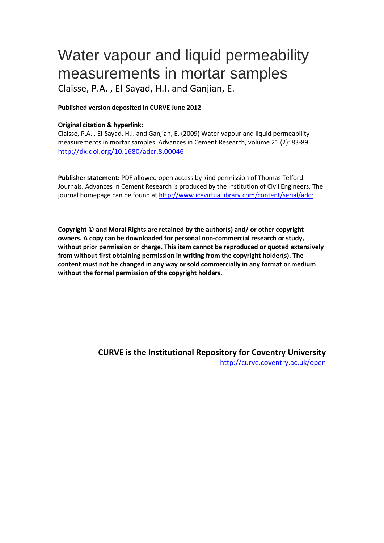# Water vapour and liquid permeability measurements in mortar samples

Claisse, P.A. , El-Sayad, H.I. and Ganjian, E.

# **Published version deposited in CURVE June 2012**

# **Original citation & hyperlink:**

Claisse, P.A. , El-Sayad, H.I. and Ganjian, E. (2009) Water vapour and liquid permeability measurements in mortar samples. Advances in Cement Research, volume 21 (2): 83-89. http://dx.doi.org/10.1680/adcr.8.00046

**Publisher statement:** PDF allowed open access by kind permission of Thomas Telford Journals. Advances in Cement Research is produced by the Institution of Civil Engineers. The journal homepage can be found at http://www.icevirtuallibrary.com/content/serial/adcr

**Copyright © and Moral Rights are retained by the author(s) and/ or other copyright [owners. A copy can be downloaded for pers](http://dx.doi.org/10.1680/adcr.8.00046)onal non-commercial research or study, without prior permission or charge. This item cannot be reproduced or quoted extensively from without first obtaining permission in writing from the copyright holder(s). The content must not be changed in any way or sold commercially in any format or medium without the formal permission of the copyright holders.** 

> **CURVE is the Institutional Repository for Coventry University** http://curve.coventry.ac.uk/open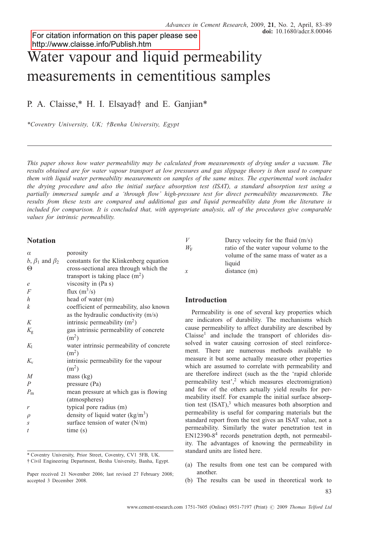For citation information on this paper please see http://www.claisse.info/Publish.htm

# Water vapour and liquid permeability measurements in cementitious samples

P. A. Claisse,\* H. I. Elsayad† and E. Ganjian\*

\*Coventry University, UK; †Benha University, Egypt

This paper shows how water permeability may be calculated from measurements of drying under a vacuum. The results obtained are for water vapour transport at low pressures and gas slippage theory is then used to compare them with liquid water permeability measurements on samples of the same mixes. The experimental work includes the drying procedure and also the initial surface absorption test (ISAT), a standard absorption test using a partially immersed sample and a 'through flow' high-pressure test for direct permeability measurements. The results from these tests are compared and additional gas and liquid permeability data from the literature is included for comparison. It is concluded that, with appropriate analysis, all of the procedures give comparable values for intrinsic permeability.

# Notation

| $\alpha$                   | porosity                                 |  |  |
|----------------------------|------------------------------------------|--|--|
| b, $\beta_1$ and $\beta_2$ | constants for the Klinkenberg equation   |  |  |
| $\Theta$                   | cross-sectional area through which the   |  |  |
|                            | transport is taking place $(m2)$         |  |  |
| $\epsilon$                 | viscosity in (Pa s)                      |  |  |
| $\overline{F}$             | flux $(m^3/s)$                           |  |  |
| $\boldsymbol{h}$           | head of water (m)                        |  |  |
| k                          | coefficient of permeability, also known  |  |  |
|                            | as the hydraulic conductivity (m/s)      |  |  |
| K                          | intrinsic permeability $(m2)$            |  |  |
| $K_{\rm g}$                | gas intrinsic permeability of concrete   |  |  |
|                            | (m <sup>2</sup> )                        |  |  |
| $K_1$                      | water intrinsic permeability of concrete |  |  |
|                            | (m <sup>2</sup> )                        |  |  |
| $K_{\rm v}$                | intrinsic permeability for the vapour    |  |  |
|                            | (m <sup>2</sup> )                        |  |  |
| $\overline{M}$             | mass (kg)                                |  |  |
| $\overline{P}$             | pressure (Pa)                            |  |  |
| $P_{\rm m}$                | mean pressure at which gas is flowing    |  |  |
|                            | (atmospheres)                            |  |  |
| r                          | typical pore radius (m)                  |  |  |
| $\rho$                     | density of liquid water $(kg/m3)$        |  |  |
| S                          | surface tension of water $(N/m)$         |  |  |
| $\boldsymbol{t}$           | time(s)                                  |  |  |
|                            |                                          |  |  |

\* Coventry University, Prior Street, Coventry, CV1 5FB, UK. † Civil Engineering Department, Benha University, Banha, Egypt.

Paper received 21 November 2006; last revised 27 February 2008; accepted 3 December 2008.

|               | Darcy velocity for the fluid $(m/s)$    |  |  |
|---------------|-----------------------------------------|--|--|
| $W_{\rm E}$   | ratio of the water vapour volume to the |  |  |
|               | volume of the same mass of water as a   |  |  |
|               | liquid                                  |  |  |
| $\mathcal{X}$ | $distance$ (m)                          |  |  |

# Introduction

Permeability is one of several key properties which are indicators of durability. The mechanisms which cause permeability to affect durability are described by  $Claise<sup>1</sup>$  $Claise<sup>1</sup>$  $Claise<sup>1</sup>$  and include the transport of chlorides dissolved in water causing corrosion of steel reinforcement. There are numerous methods available to measure it but some actually measure other properties which are assumed to correlate with permeability and are therefore indirect (such as the the 'rapid chloride permeability test', $2$  which measures electromigration) and few of the others actually yield results for permeability itself. For example the initial surface absorption test  $(ISAT)$ ,<sup>3</sup> which measures both absorption and permeability is useful for comparing materials but the standard report from the test gives an ISAT value, not a permeability. Similarly the water penetration test in  $EN12390-8<sup>4</sup>$  $EN12390-8<sup>4</sup>$  $EN12390-8<sup>4</sup>$  records penetration depth, not permeability. The advantages of knowing the permeability in standard units are listed here.

- (a) The results from one test can be compared with another.
- (b) The results can be used in theoretical work to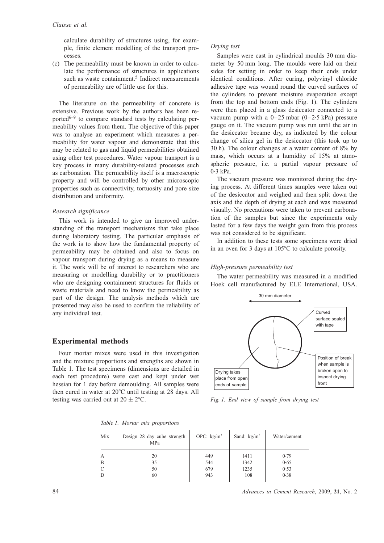calculate durability of structures using, for example, finite element modelling of the transport processes.

(c) The permeability must be known in order to calculate the performance of structures in applications such as waste containment.<sup>[5](#page-7-0)</sup> Indirect measurements of permeability are of little use for this.

The literature on the permeability of concrete is extensive. Previous work by the authors has been reported $6-9$  to compare standard tests by calculating permeability values from them. The objective of this paper was to analyse an experiment which measures a permeability for water vapour and demonstrate that this may be related to gas and liquid permeabilities obtained using other test procedures. Water vapour transport is a key process in many durability-related processes such as carbonation. The permeability itself is a macroscopic property and will be controlled by other microscopic properties such as connectivity, tortuosity and pore size distribution and uniformity.

#### Research significance

This work is intended to give an improved understanding of the transport mechanisms that take place during laboratory testing. The particular emphasis of the work is to show how the fundamental property of permeability may be obtained and also to focus on vapour transport during drying as a means to measure it. The work will be of interest to researchers who are measuring or modelling durability or to practitioners who are designing containment structures for fluids or waste materials and need to know the permeability as part of the design. The analysis methods which are presented may also be used to confirm the reliability of any individual test.

# Experimental methods

Four mortar mixes were used in this investigation and the mixture proportions and strengths are shown in Table 1. The test specimens (dimensions are detailed in each test procedure) were cast and kept under wet hessian for 1 day before demoulding. All samples were then cured in water at  $20^{\circ}$ C until testing at 28 days. All testing was carried out at  $20 \pm 2^{\circ}C$ .

#### Drying test

Samples were cast in cylindrical moulds 30 mm diameter by 50 mm long. The moulds were laid on their sides for setting in order to keep their ends under identical conditions. After curing, polyvinyl chloride adhesive tape was wound round the curved surfaces of the cylinders to prevent moisture evaporation except from the top and bottom ends (Fig. 1). The cylinders were then placed in a glass desiccator connected to a vacuum pump with a  $0-25$  mbar  $(0-2.5)$  kPa) pressure gauge on it. The vacuum pump was run until the air in the desiccator became dry, as indicated by the colour change of silica gel in the desiccator (this took up to 30 h). The colour changes at a water content of 8% by mass, which occurs at a humidity of 15% at atmospheric pressure, i.e. a partial vapour pressure of 0.3 kPa.

The vacuum pressure was monitored during the drying process. At different times samples were taken out of the desiccator and weighed and then split down the axis and the depth of drying at each end was measured visually. No precautions were taken to prevent carbonation of the samples but since the experiments only lasted for a few days the weight gain from this process was not considered to be significant.

In addition to these tests some specimens were dried in an oven for 3 days at  $105^{\circ}$ C to calculate porosity.

# High-pressure permeability test

The water permeability was measured in a modified Hoek cell manufactured by ELE International, USA.



Fig. 1. End view of sample from drying test

Table 1. Mortar mix proportions

| Mix | Design 28 day cube strength:<br>MPa | OPC: $\text{kg/m}^3$ | Sand: $kg/m3$ | Water/cement |
|-----|-------------------------------------|----------------------|---------------|--------------|
| A   | 20                                  | 449                  | 1411          | 0.79         |
| B   | 35                                  | 544                  | 1342          | 0.65         |
| C   | 50                                  | 679                  | 1235          | 0.53         |
| D   | 60                                  | 943                  | 108           | 0.38         |

84 Advances in Cement Research, 2009, 21, No. 2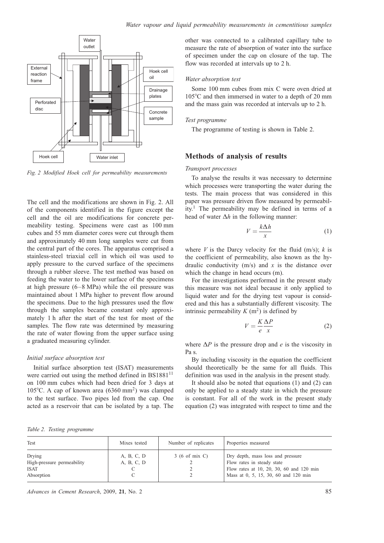

Fig. 2 Modified Hoek cell for permeability measurements

The cell and the modifications are shown in Fig. 2. All of the components identified in the figure except the cell and the oil are modifications for concrete permeability testing. Specimens were cast as 100 mm cubes and 55 mm diameter cores were cut through them and approximately 40 mm long samples were cut from the central part of the cores. The apparatus comprised a stainless-steel triaxial cell in which oil was used to apply pressure to the curved surface of the specimens through a rubber sleeve. The test method was based on feeding the water to the lower surface of the specimens at high pressure (6–8 MPa) while the oil pressure was maintained about 1 MPa higher to prevent flow around the specimens. Due to the high pressures used the flow through the samples became constant only approximately 1 h after the start of the test for most of the samples. The flow rate was determined by measuring the rate of water flowing from the upper surface using a graduated measuring cylinder.

# Initial surface absorption test

Initial surface absorption test (ISAT) measurements were carried out using the method defined in  $BS1881^{11}$  $BS1881^{11}$  $BS1881^{11}$ on 100 mm cubes which had been dried for 3 days at 105 $\degree$ C. A cap of known area (6360 mm<sup>2</sup>) was clamped to the test surface. Two pipes led from the cap. One acted as a reservoir that can be isolated by a tap. The other was connected to a calibrated capillary tube to measure the rate of absorption of water into the surface of specimen under the cap on closure of the tap. The flow was recorded at intervals up to 2 h.

#### Water absorption test

Some 100 mm cubes from mix C were oven dried at  $105^{\circ}$ C and then immersed in water to a depth of 20 mm and the mass gain was recorded at intervals up to 2 h.

#### Test programme

The programme of testing is shown in Table 2.

## Methods of analysis of results

## Transport processes

To analyse the results it was necessary to determine which processes were transporting the water during the tests. The main process that was considered in this paper was pressure driven flow measured by permeability.[1](#page-7-0) The permeability may be defined in terms of a head of water  $\Delta h$  in the following manner:

$$
V = \frac{k\Delta h}{x} \tag{1}
$$

where V is the Darcy velocity for the fluid (m/s);  $k$  is the coefficient of permeability, also known as the hydraulic conductivity  $(m/s)$  and x is the distance over which the change in head occurs  $(m)$ .

For the investigations performed in the present study this measure was not ideal because it only applied to liquid water and for the drying test vapour is considered and this has a substantially different viscosity. The intrinsic permeability  $K(m^2)$  is defined by

$$
V = \frac{K \Delta P}{e x}
$$
 (2)

where  $\Delta P$  is the pressure drop and e is the viscosity in Pa s.

By including viscosity in the equation the coefficient should theoretically be the same for all fluids. This definition was used in the analysis in the present study.

It should also be noted that equations (1) and (2) can only be applied to a steady state in which the pressure is constant. For all of the work in the present study equation (2) was integrated with respect to time and the

Table 2. Testing programme

| Test                                                              | Mixes tested             | Number of replicates             | Properties measured                                                                                                                                 |
|-------------------------------------------------------------------|--------------------------|----------------------------------|-----------------------------------------------------------------------------------------------------------------------------------------------------|
| Drying<br>High-pressure permeability<br><b>ISAT</b><br>Absorption | A, B, C, D<br>A, B, C, D | $3(6 \text{ of } \text{mix } C)$ | Dry depth, mass loss and pressure<br>Flow rates in steady state<br>Flow rates at 10, 20, 30, 60 and 120 min<br>Mass at 0, 5, 15, 30, 60 and 120 min |

Advances in Cement Research, 2009, 21, No. 2 85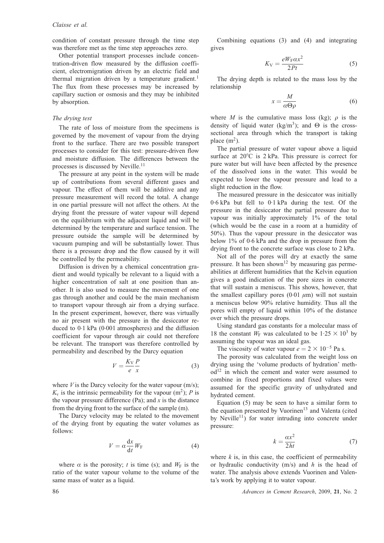condition of constant pressure through the time step was therefore met as the time step approaches zero.

Other potential transport processes include concentration-driven flow measured by the diffusion coefficient, electromigration driven by an electric field and thermal migration driven by a temperature gradient.<sup>[1](#page-7-0)</sup> The flux from these processes may be increased by capillary suction or osmosis and they may be inhibited by absorption.

#### The drying test

The rate of loss of moisture from the specimens is governed by the movement of vapour from the drying front to the surface. There are two possible transport processes to consider for this test: pressure-driven flow and moisture diffusion. The differences between the processes is discussed by Neville.<sup>[11](#page-7-0)</sup>

The pressure at any point in the system will be made up of contributions from several different gases and vapour. The effect of them will be additive and any pressure measurement will record the total. A change in one partial pressure will not affect the others. At the drying front the pressure of water vapour will depend on the equilibrium with the adjacent liquid and will be determined by the temperature and surface tension. The pressure outside the sample will be determined by vacuum pumping and will be substantially lower. Thus there is a pressure drop and the flow caused by it will be controlled by the permeability.

Diffusion is driven by a chemical concentration gradient and would typically be relevant to a liquid with a higher concentration of salt at one position than another. It is also used to measure the movement of one gas through another and could be the main mechanism to transport vapour through air from a drying surface. In the present experiment, however, there was virtually no air present with the pressure in the desiccator reduced to  $0.1$  kPa  $(0.001$  atmospheres) and the diffusion coefficient for vapour through air could not therefore be relevant. The transport was therefore controlled by permeability and described by the Darcy equation

$$
V = \frac{K_{\rm V}}{e} \frac{P}{x} \tag{3}
$$

where  $V$  is the Darcy velocity for the water vapour (m/s);  $K_v$  is the intrinsic permeability for the vapour  $(m^2)$ ; P is the vapour pressure difference  $(Pa)$ ; and x is the distance from the drying front to the surface of the sample (m).

The Darcy velocity may be related to the movement of the drying front by equating the water volumes as follows:

$$
V = \alpha \frac{\mathrm{d}x}{\mathrm{d}t} W_{\mathrm{F}} \tag{4}
$$

where  $\alpha$  is the porosity; t is time (s); and  $W_F$  is the ratio of the water vapour volume to the volume of the same mass of water as a liquid.

Combining equations (3) and (4) and integrating gives

$$
K_{\rm V} = \frac{eW_{\rm F}\alpha x^2}{2Pt} \tag{5}
$$

The drying depth is related to the mass loss by the relationship

$$
x = \frac{M}{\alpha \Theta \rho} \tag{6}
$$

where M is the cumulative mass loss (kg);  $\rho$  is the density of liquid water (kg/m<sup>3</sup>); and  $\Theta$  is the crosssectional area through which the transport is taking place  $(m<sup>2</sup>)$ .

The partial pressure of water vapour above a liquid surface at  $20^{\circ}$ C is  $2$  kPa. This pressure is correct for pure water but will have been affected by the presence of the dissolved ions in the water. This would be expected to lower the vapour pressure and lead to a slight reduction in the flow.

The measured pressure in the desiccator was initially 0.6 kPa but fell to 0.1 kPa during the test. Of the pressure in the desiccator the partial pressure due to vapour was initially approximately 1% of the total (which would be the case in a room at a humidity of 50%). Thus the vapour pressure in the desiccator was below 1% of 0.6 kPa and the drop in pressure from the drying front to the concrete surface was close to 2 kPa.

Not all of the pores will dry at exactly the same pressure. It has been shown<sup>12</sup> by measuring gas permeabilities at different humidities that the Kelvin equation gives a good indication of the pore sizes in concrete that will sustain a meniscus. This shows, however, that the smallest capillary pores  $(0.01 \ \mu m)$  will not sustain a meniscus below 90% relative humidity. Thus all the pores will empty of liquid within 10% of the distance over which the pressure drops.

Using standard gas constants for a molecular mass of 18 the constant  $W_F$  was calculated to be 1.25  $\times$  10<sup>3</sup> by assuming the vapour was an ideal gas.

The viscosity of water vapour  $e = 2 \times 10^{-5}$  Pa s.

The porosity was calculated from the weight loss on drying using the 'volume products of hydration' meth- $od<sup>12</sup>$  $od<sup>12</sup>$  $od<sup>12</sup>$  in which the cement and water were assumed to combine in fixed proportions and fixed values were assumed for the specific gravity of unhydrated and hydrated cement.

Equation (5) may be seen to have a similar form to the equation presented by Vuorinen<sup>[13](#page-7-0)</sup> and Valenta (cited by Neville<sup> $11$ </sup>) for water intruding into concrete under pressure:

$$
k = \frac{\alpha x^2}{2h t} \tag{7}
$$

where  $k$  is, in this case, the coefficient of permeability or hydraulic conductivity  $(m/s)$  and h is the head of water. The analysis above extends Vuorinen and Valenta's work by applying it to water vapour.

86 Advances in Cement Research, 2009, 21, No. 2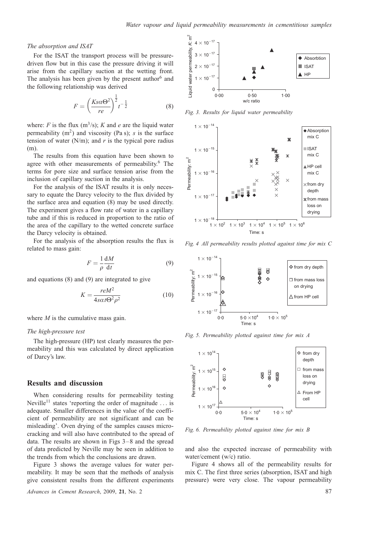### <span id="page-5-0"></span>The absorption and ISAT

For the ISAT the transport process will be pressuredriven flow but in this case the pressure driving it will arise from the capillary suction at the wetting front. The analysis has been given by the present author<sup>[6](#page-7-0)</sup> and the following relationship was derived

$$
F = \left(\frac{Ks\alpha\Theta^2}{re}\right)^{\frac{1}{2}}t^{-\frac{1}{2}}\tag{8}
$$

where: F is the flux  $(m^3/s)$ ; K and e are the liquid water permeability  $(m^2)$  and viscosity (Pa s); s is the surface tension of water (N/m); and r is the typical pore radius (m).

The results from this equation have been shown to agree with other measurements of permeability.<sup>[6](#page-7-0)</sup> The terms for pore size and surface tension arise from the inclusion of capillary suction in the analysis.

For the analysis of the ISAT results it is only necessary to equate the Darcy velocity to the flux divided by the surface area and equation (8) may be used directly. The experiment gives a flow rate of water in a capillary tube and if this is reduced in proportion to the ratio of the area of the capillary to the wetted concrete surface the Darcy velocity is obtained.

For the analysis of the absorption results the flux is related to mass gain:

$$
F = \frac{1}{\rho} \frac{\mathrm{d}M}{\mathrm{d}t} \tag{9}
$$

and equations (8) and (9) are integrated to give

$$
K = \frac{reM^2}{4sa t \Theta^2 \rho^2} \tag{10}
$$

where  $M$  is the cumulative mass gain.

## The high-pressure test

The high-pressure (HP) test clearly measures the permeability and this was calculated by direct application of Darcy's law.

# Results and discussion

When considering results for permeability testing Neville<sup>[11](#page-7-0)</sup> states 'reporting the order of magnitude  $\dots$  is adequate. Smaller differences in the value of the coefficient of permeability are not significant and can be misleading'. Oven drying of the samples causes microcracking and will also have contributed to the spread of data. The results are shown in Figs 3[–8](#page-6-0) and the spread of data predicted by Neville may be seen in addition to the trends from which the conclusions are drawn.

Figure 3 shows the average values for water permeability. It may be seen that the methods of analysis give consistent results from the different experiments

Advances in Cement Research, 2009, 21, No. 2 87



Fig. 3. Results for liquid water permeability



Fig. 4 All permeability results plotted against time for mix C



Fig. 5. Permeability plotted against time for mix A



Fig. 6. Permeability plotted against time for mix B

and also the expected increase of permeability with water/cement (w/c) ratio.

Figure 4 shows all of the permeability results for mix C. The first three series (absorption, ISAT and high pressure) were very close. The vapour permeability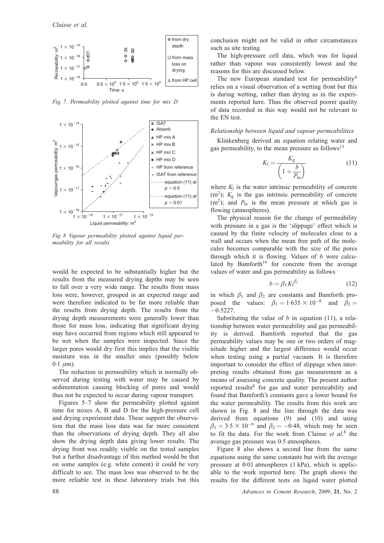<span id="page-6-0"></span>

Fig. 7. Permeability plotted against time for mix D



Fig. 8 Vapour permeability plotted against liquid permeability for all results

would be expected to be substantially higher but the results from the measured drying depths may be seen to fall over a very wide range. The results from mass loss were, however, grouped in an expected range and were therefore indicated to be far more reliable than the results from drying depth. The results from the drying depth measurements were generally lower than those for mass loss, indicating that significant drying may have occurred from regions which still appeared to be wet when the samples were inspected. Since the larger pores would dry first this implies that the visible moisture was in the smaller ones (possibly below  $0.1 \mu m$ ).

The reduction in permeability which is normally observed during testing with water may be caused by sedimentation causing blocking of pores and would thus not be expected to occur during vapour transport.

Figures [5–](#page-5-0)7 show the permeability plotted against time for mixes A, B and D for the high-pressure cell and drying experiment data. These support the observation that the mass loss data was far more consistent than the observations of drying depth. They all also show the drying depth data giving lower results. The drying front was readily visible on the tested samples but a further disadvantage of this method would be that on some samples (e.g. white cement) it could be very difficult to see. The mass loss was observed to be the more reliable test in these laboratory trials but this

conclusion might not be valid in other circumstances such as site testing.

The high-pressure cell data, which was for liquid rather than vapour was consistently lowest and the reasons for this are discussed below.

The new European standard test for permeability<sup>[4](#page-7-0)</sup> relies on a visual observation of a wetting front but this is during wetting, rather than drying as in the experiments reported here. Thus the observed poorer quality of data recorded in this way would not be relevant to the EN test.

# Relationship between liquid and vapour permeabilities

Klinkenberg derived an equation relating water and gas permeability, to the mean pressure as follows<sup>[13](#page-7-0)</sup>

$$
K_1 = \frac{K_g}{\left(1 + \frac{b}{P_m}\right)}\tag{11}
$$

where  $K_1$  is the water intrinsic permeability of concrete  $(m<sup>2</sup>)$ ;  $K<sub>g</sub>$  is the gas intrinsic permeability of concrete  $(m<sup>2</sup>)$ ; and  $P<sub>m</sub>$  is the mean pressure at which gas is flowing (atmospheres).

The physical reason for the change of permeability with pressure in a gas is the 'slippage' effect which is caused by the finite velocity of molecules close to a wall and occurs when the mean free path of the molecules becomes comparable with the size of the pores through which it is flowing. Values of  $b$  were calculated by Bamforth<sup>14</sup> for concrete from the average values of water and gas permeability as follows

$$
b = \beta_1 K_1^{\beta_2} \tag{12}
$$

in which  $\beta_1$  and  $\beta_2$  are constants and Bamforth proposed the values:  $\beta_1 = 1.635 \times 10^{-8}$  and  $\beta_2 =$  $-0.5227$ .

Substituting the value of  $b$  in equation (11), a relationship between water permeability and gas permeability is derived. Bamforth reported that the gas permeability values may be one or two orders of magnitude higher and the largest difference would occur when testing using a partial vacuum. It is therefore important to consider the effect of slippage when interpreting results obtained from gas measurement as a means of assessing concrete quality. The present author reported results<sup>[8](#page-7-0)</sup> for gas and water permeability and found that Bamforth's constants gave a lower bound for the water permeability. The results from this work are shown in Fig. 8 and the line through the data was derived from equations [\(9\)](#page-5-0) and (10) and using  $\beta_1 = 3.5 \times 10^{-9}$  and  $\beta_2 = -0.48$ , which may be seen to fit the data. For the work from Claisse et al.<sup>[8](#page-7-0)</sup> the average gas pressure was 0.5 atmospheres.

Figure 8 also shows a second line from the same equations using the same constants but with the average pressure at 0. 01 atmospheres (1 kPa), which is applicable to the work reported here. The graph shows the results for the different tests on liquid water plotted

88 Advances in Cement Research, 2009, 21, No. 2